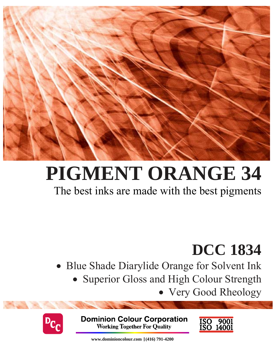

# **PIGMENT ORANGE 34**

## The best inks are made with the best pigments

## **DCC 1834**

- Blue Shade Diarylide Orange for Solvent Ink
	- Superior Gloss and High Colour Strength
		- Very Good Rheology



**Dominion Colour Corporation Working Together For Quality** 



**www.dominioncolour.com |(416) 791-4200**